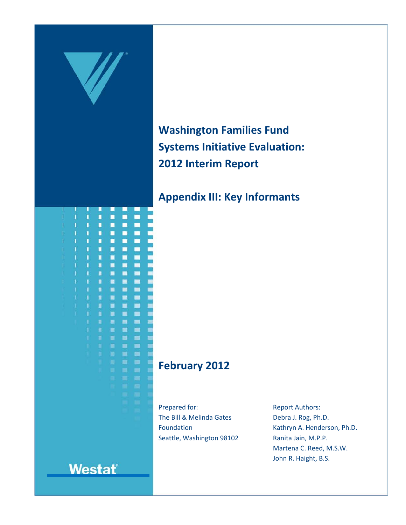

**Washington Families Fund Systems Initiative Evaluation: 2012 Interim Report**

# **Appendix III: Key Informants**

## **February 2012**

Prepared for: The Bill & Melinda Gates Foundation Seattle, Washington 98102 Report Authors: Debra J. Rog, Ph.D. Kathryn A. Henderson, Ph.D. Ranita Jain, M.P.P. Martena C. Reed, M.S.W. John R. Haight, B.S.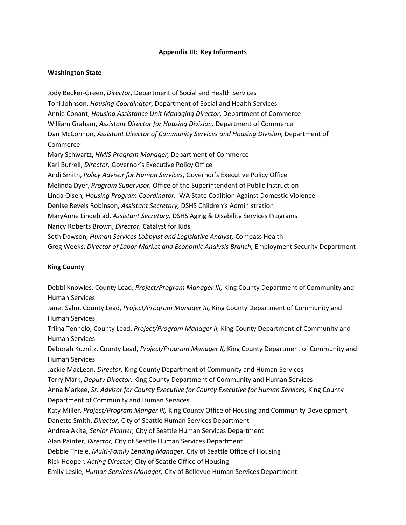#### **Appendix III: Key Informants**

#### **Washington State**

Jody Becker-Green, *Director,* Department of Social and Health Services Toni Johnson, *Housing Coordinator*, Department of Social and Health Services Annie Conant, *Housing Assistance Unit Managing Director*, Department of Commerce William Graham, *Assistant Director for Housing Division,* Department of Commerce Dan McConnon, Assistant Director of Community Services and Housing Division, Department of Commerce Mary Schwartz, *HMIS Program Manager,* Department of Commerce Kari Burrell, *Director,* Governor's Executive Policy Office Andi Smith, *Policy Advisor for Human Services*, Governor's Executive Policy Office Melinda Dyer, *Program Supervisor,* Office of the Superintendent of Public Instruction Linda Olsen, *Housing Program Coordinator,* WA State Coalition Against Domestic Violence Denise Revels Robinson, *Assistant Secretary,* DSHS Children's Administration MaryAnne Lindeblad, *Assistant Secretary,* DSHS Aging & Disability Services Programs Nancy Roberts Brown, *Director,* Catalyst for Kids Seth Dawson, *Human Services Lobbyist and Legislative Analyst,* Compass Health Greg Weeks, *Director of Labor Market and Economic Analysis Branch,* Employment Security Department

### **King County**

Debbi Knowles, County Lead, *Project/Program Manager III,* King County Department of Community and Human Services Janet Salm, County Lead, *Project/Program Manager III,* King County Department of Community and Human Services Triina Tennelo, County Lead, *Project/Program Manager II,* King County Department of Community and Human Services Deborah Kuznitz, County Lead, *Project/Program Manager II,* King County Department of Community and Human Services Jackie MacLean, *Director,* King County Department of Community and Human Services Terry Mark, *Deputy Director,* King County Department of Community and Human Services Anna Markee, *Sr. Advisor for County Executive for County Executive for Human Services,* King County Department of Community and Human Services Katy Miller, *Project/Program Manger III,* King County Office of Housing and Community Development Danette Smith, *Director,* City of Seattle Human Services Department Andrea Akita, *Senior Planner,* City of Seattle Human Services Department Alan Painter, *Director,* City of Seattle Human Services Department Debbie Thiele, *Multi-Family Lending Manager,* City of Seattle Office of Housing Rick Hooper, *Acting Director,* City of Seattle Office of Housing Emily Leslie, *Human Services Manager,* City of Bellevue Human Services Department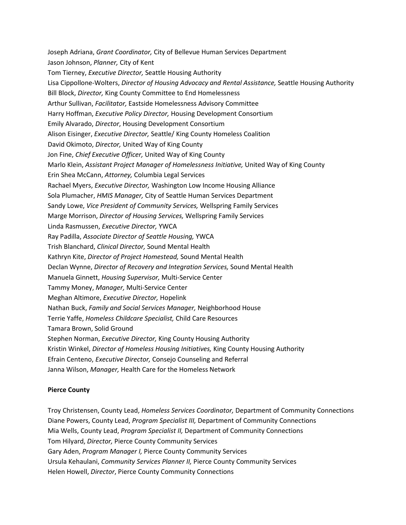Joseph Adriana, *Grant Coordinator,* City of Bellevue Human Services Department Jason Johnson, *Planner,* City of Kent Tom Tierney, *Executive Director,* Seattle Housing Authority Lisa Cippollone-Wolters, *Director of Housing Advocacy and Rental Assistance,* Seattle Housing Authority Bill Block, *Director,* King County Committee to End Homelessness Arthur Sullivan, *Facilitator,* Eastside Homelessness Advisory Committee Harry Hoffman, *Executive Policy Director,* Housing Development Consortium Emily Alvarado, *Director*, Housing Development Consortium Alison Eisinger, *Executive Director,* Seattle/ King County Homeless Coalition David Okimoto, *Director,* United Way of King County Jon Fine, *Chief Executive Officer,* United Way of King County Marlo Klein, *Assistant Project Manager of Homelessness Initiative,* United Way of King County Erin Shea McCann, *Attorney,* Columbia Legal Services Rachael Myers, *Executive Director,* Washington Low Income Housing Alliance Sola Plumacher, *HMIS Manager,* City of Seattle Human Services Department Sandy Lowe, *Vice President of Community Services,* Wellspring Family Services Marge Morrison, *Director of Housing Services,* Wellspring Family Services Linda Rasmussen, *Executive Director,* YWCA Ray Padilla, *Associate Director of Seattle Housing,* YWCA Trish Blanchard, *Clinical Director,* Sound Mental Health Kathryn Kite, *Director of Project Homestead,* Sound Mental Health Declan Wynne, *Director of Recovery and Integration Services,* Sound Mental Health Manuela Ginnett, *Housing Supervisor,* Multi-Service Center Tammy Money, *Manager,* Multi-Service Center Meghan Altimore, *Executive Director,* Hopelink Nathan Buck, *Family and Social Services Manager,* Neighborhood House Terrie Yaffe, *Homeless Childcare Specialist,* Child Care Resources Tamara Brown, Solid Ground Stephen Norman, *Executive Director,* King County Housing Authority Kristin Winkel, *Director of Homeless Housing Initiatives,* King County Housing Authority Efrain Centeno, *Executive Director,* Consejo Counseling and Referral Janna Wilson, *Manager,* Health Care for the Homeless Network

#### **Pierce County**

Troy Christensen, County Lead, *Homeless Services Coordinator,* Department of Community Connections Diane Powers, County Lead, *Program Specialist III,* Department of Community Connections Mia Wells, County Lead, *Program Specialist II,* Department of Community Connections Tom Hilyard, *Director,* Pierce County Community Services Gary Aden, *Program Manager I,* Pierce County Community Services Ursula Kehaulani, *Community Services Planner II,* Pierce County Community Services Helen Howell, *Director*, Pierce County Community Connections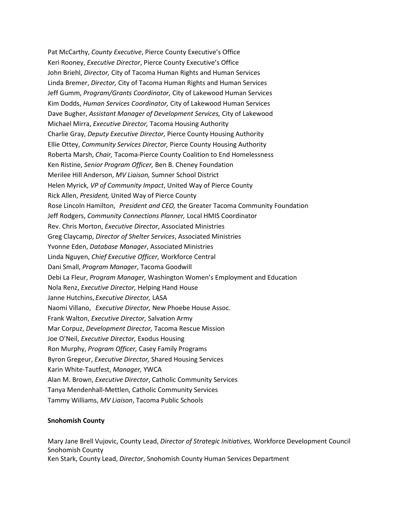Pat McCarthy, *County Executive*, Pierce County Executive's Office Keri Rooney, *Executive Director*, Pierce County Executive's Office John Briehl, *Director,* City of Tacoma Human Rights and Human Services Linda Bremer, *Director,* City of Tacoma Human Rights and Human Services Jeff Gumm, *Program/Grants Coordinator,* City of Lakewood Human Services Kim Dodds, *Human Services Coordinator,* City of Lakewood Human Services Dave Bugher, *Assistant Manager of Development Services,* City of Lakewood Michael Mirra, *Executive Director,* Tacoma Housing Authority Charlie Gray, *Deputy Executive Director,* Pierce County Housing Authority Ellie Ottey, *Community Services Director,* Pierce County Housing Authority Roberta Marsh, *Chair,* Tacoma-Pierce County Coalition to End Homelessness Ken Ristine, *Senior Program Officer,* Ben B. Cheney Foundation Merilee Hill Anderson, *MV Liaison,* Sumner School District Helen Myrick, *VP of Community Impact*, United Way of Pierce County Rick Allen, *President,* United Way of Pierce County Rose Lincoln Hamilton, *President and CEO,* the Greater Tacoma Community Foundation Jeff Rodgers, *Community Connections Planner,* Local HMIS Coordinator Rev. Chris Morton, *Executive Director*, Associated Ministries Greg Claycamp, *Director of Shelter Services*, Associated Ministries Yvonne Eden, *Database Manager*, Associated Ministries Linda Nguyen, *Chief Executive Officer,* Workforce Central Dani Small, *Program Manager*, Tacoma Goodwill Debi La Fleur, *Program Manager,* Washington Women's Employment and Education Nola Renz, *Executive Director,* Helping Hand House Janne Hutchins, *Executive Director,* LASA Naomi Villano, *Executive Director,* New Phoebe House Assoc. Frank Walton, *Executive Director,* Salvation Army Mar Corpuz, *Development Director,* Tacoma Rescue Mission Joe O'Neil, *Executive Director,* Exodus Housing Ron Murphy, *Program Officer,* Casey Family Programs Byron Gregeur, *Executive Director,* Shared Housing Services Karin White-Tautfest, *Manager,* YWCA Alan M. Brown, *Executive Director*, Catholic Community Services Tanya Mendenhall-Mettlen, Catholic Community Services Tammy Williams, *MV Liaison*, Tacoma Public Schools

#### **Snohomish County**

Mary Jane Brell Vujovic, County Lead, *Director of Strategic Initiatives,* Workforce Development Council Snohomish County Ken Stark, County Lead, *Director*, Snohomish County Human Services Department